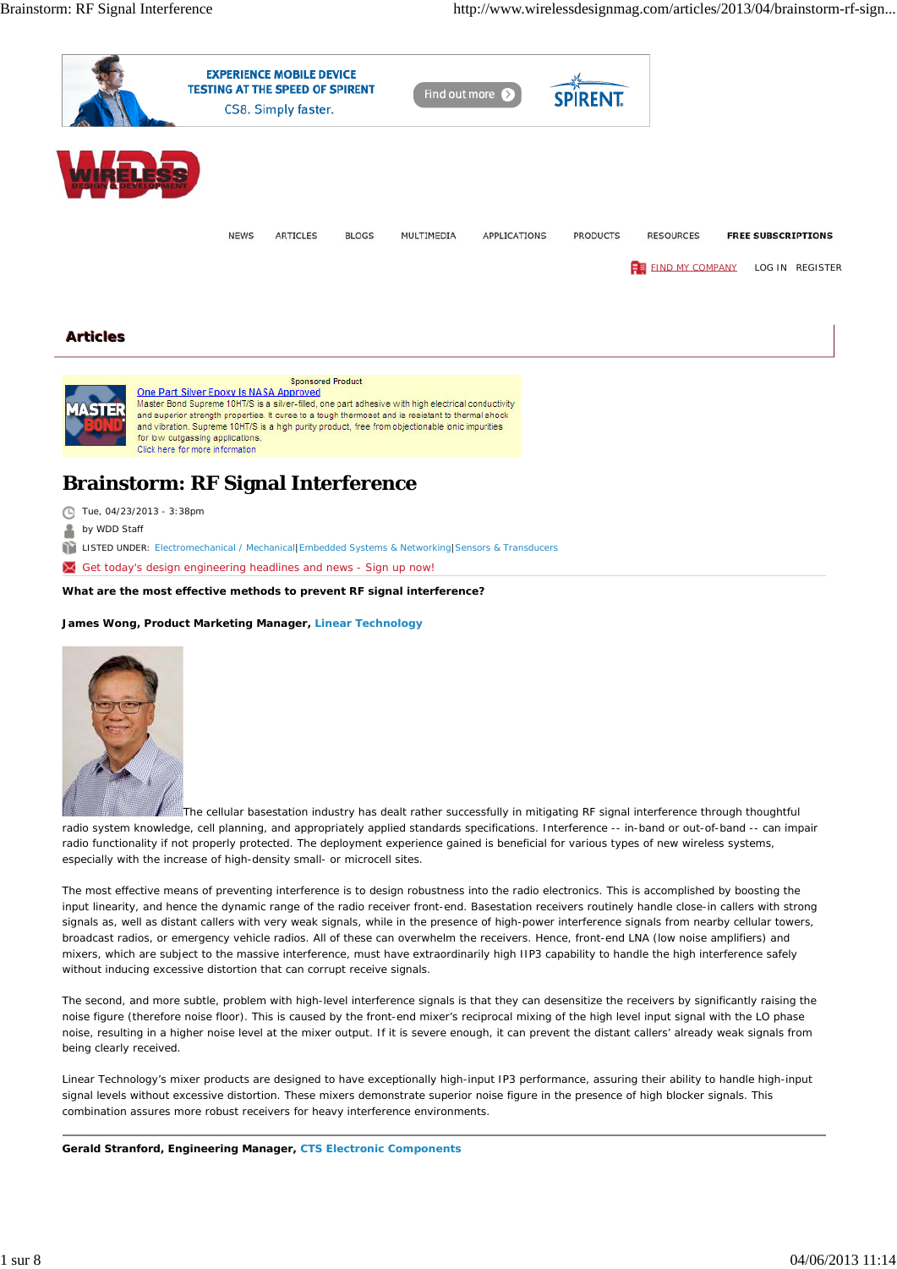



## One Part Silver Epoxy Is NASA Approved

Master Bond Supreme 10HT/S is a silver-filled, one part adhesive with high electrical conductivity and superior strength properties. It cures to a tough thermoset and is resistant to thermal shock and vibration. Supreme 10HT/S is a high purity product, free from objectionable ionic impurities for low outgassing applications. Click here for more information

# **Brainstorm: RF Signal Interference**

- Tue, 04/23/2013 3:38pm
- by WDD Staff

LISTED UNDER: Electromechanical / Mechanical|Embedded Systems & Networking|Sensors & Transducers

Get today's design engineering headlines and news - Sign up now!

**What are the most effective methods to prevent RF signal interference?**

## **James Wong, Product Marketing Manager, Linear Technology**



The cellular basestation industry has dealt rather successfully in mitigating RF signal interference through thoughtful radio system knowledge, cell planning, and appropriately applied standards specifications. Interference -- in-band or out-of-band -- can impair radio functionality if not properly protected. The deployment experience gained is beneficial for various types of new wireless systems, especially with the increase of high-density small- or microcell sites.

The most effective means of preventing interference is to design robustness into the radio electronics. This is accomplished by boosting the input linearity, and hence the dynamic range of the radio receiver front-end. Basestation receivers routinely handle close-in callers with strong signals as, well as distant callers with very weak signals, while in the presence of high-power interference signals from nearby cellular towers, broadcast radios, or emergency vehicle radios. All of these can overwhelm the receivers. Hence, front-end LNA (low noise amplifiers) and mixers, which are subject to the massive interference, must have extraordinarily high IIP3 capability to handle the high interference safely without inducing excessive distortion that can corrupt receive signals.

The second, and more subtle, problem with high-level interference signals is that they can desensitize the receivers by significantly raising the noise figure (therefore noise floor). This is caused by the front-end mixer's reciprocal mixing of the high level input signal with the LO phase noise, resulting in a higher noise level at the mixer output. If it is severe enough, it can prevent the distant callers' already weak signals from being clearly received.

Linear Technology's mixer products are designed to have exceptionally high-input IP3 performance, assuring their ability to handle high-input signal levels without excessive distortion. These mixers demonstrate superior noise figure in the presence of high blocker signals. This combination assures more robust receivers for heavy interference environments.

**Gerald Stranford, Engineering Manager, CTS Electronic Components**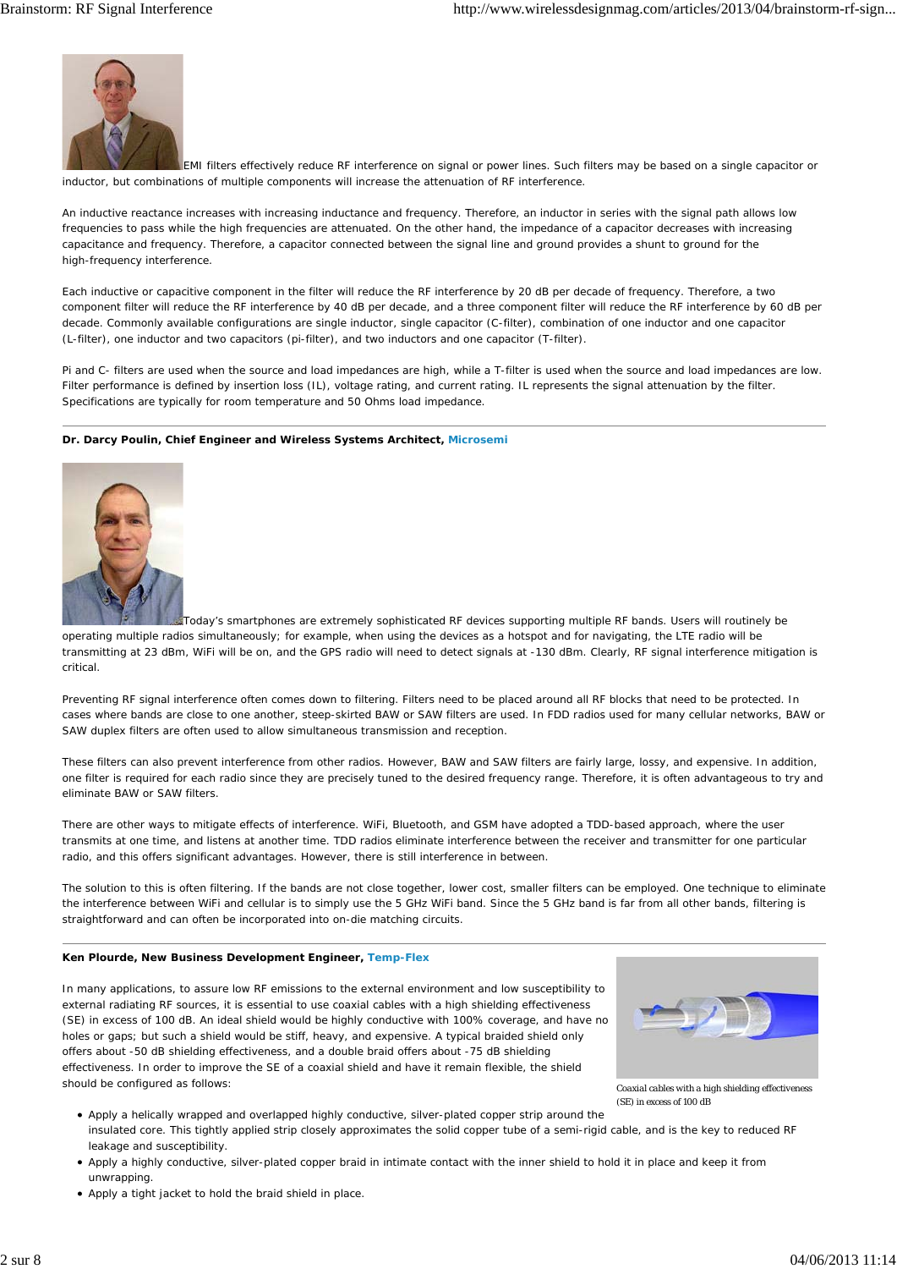

EMI filters effectively reduce RF interference on signal or power lines. Such filters may be based on a single capacitor or inductor, but combinations of multiple components will increase the attenuation of RF interference.

An inductive reactance increases with increasing inductance and frequency. Therefore, an inductor in series with the signal path allows low frequencies to pass while the high frequencies are attenuated. On the other hand, the impedance of a capacitor decreases with increasing capacitance and frequency. Therefore, a capacitor connected between the signal line and ground provides a shunt to ground for the high-frequency interference.

Each inductive or capacitive component in the filter will reduce the RF interference by 20 dB per decade of frequency. Therefore, a two component filter will reduce the RF interference by 40 dB per decade, and a three component filter will reduce the RF interference by 60 dB per decade. Commonly available configurations are single inductor, single capacitor (C-filter), combination of one inductor and one capacitor (L-filter), one inductor and two capacitors (pi-filter), and two inductors and one capacitor (T-filter).

Pi and C- filters are used when the source and load impedances are high, while a T-filter is used when the source and load impedances are low. Filter performance is defined by insertion loss (IL), voltage rating, and current rating. IL represents the signal attenuation by the filter. Specifications are typically for room temperature and 50 Ohms load impedance.

### **Dr. Darcy Poulin, Chief Engineer and Wireless Systems Architect, Microsemi**



Today's smartphones are extremely sophisticated RF devices supporting multiple RF bands. Users will routinely be operating multiple radios simultaneously; for example, when using the devices as a hotspot and for navigating, the LTE radio will be transmitting at 23 dBm, WiFi will be on, and the GPS radio will need to detect signals at -130 dBm. Clearly, RF signal interference mitigation is critical.

Preventing RF signal interference often comes down to filtering. Filters need to be placed around all RF blocks that need to be protected. In cases where bands are close to one another, steep-skirted BAW or SAW filters are used. In FDD radios used for many cellular networks, BAW or SAW duplex filters are often used to allow simultaneous transmission and reception.

These filters can also prevent interference from other radios. However, BAW and SAW filters are fairly large, lossy, and expensive. In addition, one filter is required for each radio since they are precisely tuned to the desired frequency range. Therefore, it is often advantageous to try and eliminate BAW or SAW filters.

There are other ways to mitigate effects of interference. WiFi, Bluetooth, and GSM have adopted a TDD-based approach, where the user transmits at one time, and listens at another time. TDD radios eliminate interference between the receiver and transmitter for one particular radio, and this offers significant advantages. However, there is still interference in between.

The solution to this is often filtering. If the bands are not close together, lower cost, smaller filters can be employed. One technique to eliminate the interference between WiFi and cellular is to simply use the 5 GHz WiFi band. Since the 5 GHz band is far from all other bands, filtering is straightforward and can often be incorporated into on-die matching circuits.

#### **Ken Plourde, New Business Development Engineer, Temp-Flex**

In many applications, to assure low RF emissions to the external environment and low susceptibility to external radiating RF sources, it is essential to use coaxial cables with a high shielding effectiveness (SE) in excess of 100 dB. An ideal shield would be highly conductive with 100% coverage, and have no holes or gaps; but such a shield would be stiff, heavy, and expensive. A typical braided shield only offers about -50 dB shielding effectiveness, and a double braid offers about -75 dB shielding effectiveness. In order to improve the SE of a coaxial shield and have it remain flexible, the shield should be configured as follows:



*Coaxial cables with a high shielding effectiveness (SE) in excess of 100 dB*

- Apply a helically wrapped and overlapped highly conductive, silver-plated copper strip around the insulated core. This tightly applied strip closely approximates the solid copper tube of a semi-rigid cable, and is the key to reduced RF leakage and susceptibility.
- Apply a highly conductive, silver-plated copper braid in intimate contact with the inner shield to hold it in place and keep it from unwrapping.
- Apply a tight jacket to hold the braid shield in place.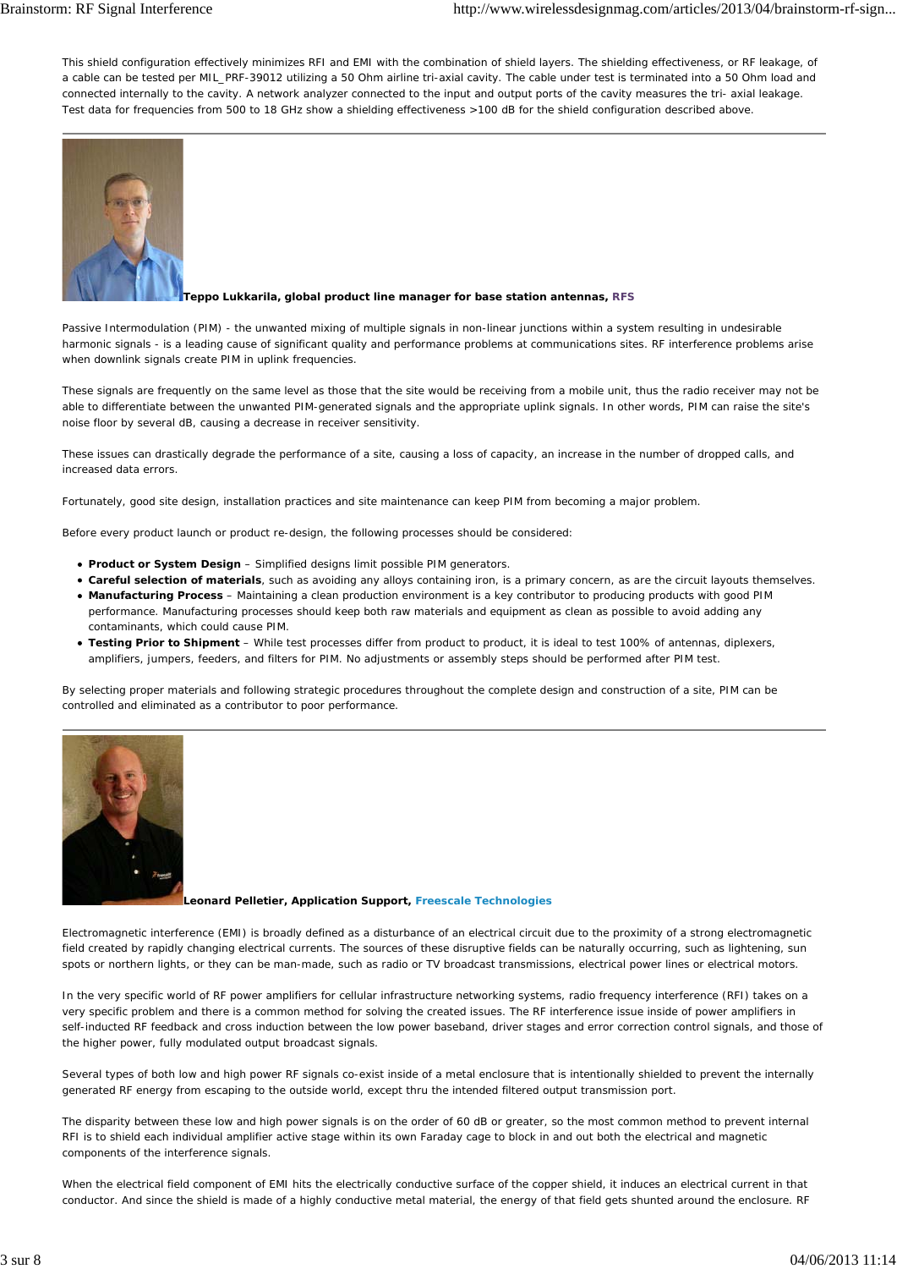This shield configuration effectively minimizes RFI and EMI with the combination of shield layers. The shielding effectiveness, or RF leakage, of a cable can be tested per MIL\_PRF-39012 utilizing a 50 Ohm airline tri-axial cavity. The cable under test is terminated into a 50 Ohm load and connected internally to the cavity. A network analyzer connected to the input and output ports of the cavity measures the tri- axial leakage. Test data for frequencies from 500 to 18 GHz show a shielding effectiveness >100 dB for the shield configuration described above.



### **Teppo Lukkarila, global product line manager for base station antennas, RFS**

Passive Intermodulation (PIM) - the unwanted mixing of multiple signals in non-linear junctions within a system resulting in undesirable harmonic signals - is a leading cause of significant quality and performance problems at communications sites. RF interference problems arise when downlink signals create PIM in uplink frequencies.

These signals are frequently on the same level as those that the site would be receiving from a mobile unit, thus the radio receiver may not be able to differentiate between the unwanted PIM-generated signals and the appropriate uplink signals. In other words, PIM can raise the site's noise floor by several dB, causing a decrease in receiver sensitivity.

These issues can drastically degrade the performance of a site, causing a loss of capacity, an increase in the number of dropped calls, and increased data errors.

Fortunately, good site design, installation practices and site maintenance can keep PIM from becoming a major problem.

Before every product launch or product re-design, the following processes should be considered:

- *Product or System Design* Simplified designs limit possible PIM generators.
- *Careful selection of materials*, such as avoiding any alloys containing iron, is a primary concern, as are the circuit layouts themselves.
- *Manufacturing Process* Maintaining a clean production environment is a key contributor to producing products with good PIM performance. Manufacturing processes should keep both raw materials and equipment as clean as possible to avoid adding any contaminants, which could cause PIM.
- *Testing Prior to Shipment* While test processes differ from product to product, it is ideal to test 100% of antennas, diplexers, amplifiers, jumpers, feeders, and filters for PIM. No adjustments or assembly steps should be performed after PIM test.

By selecting proper materials and following strategic procedures throughout the complete design and construction of a site, PIM can be controlled and eliminated as a contributor to poor performance.



**Leonard Pelletier, Application Support, Freescale Technologies**

Electromagnetic interference (EMI) is broadly defined as a disturbance of an electrical circuit due to the proximity of a strong electromagnetic field created by rapidly changing electrical currents. The sources of these disruptive fields can be naturally occurring, such as lightening, sun spots or northern lights, or they can be man-made, such as radio or TV broadcast transmissions, electrical power lines or electrical motors.

In the very specific world of RF power amplifiers for cellular infrastructure networking systems, radio frequency interference (RFI) takes on a very specific problem and there is a common method for solving the created issues. The RF interference issue inside of power amplifiers in self-inducted RF feedback and cross induction between the low power baseband, driver stages and error correction control signals, and those of the higher power, fully modulated output broadcast signals.

Several types of both low and high power RF signals co-exist inside of a metal enclosure that is intentionally shielded to prevent the internally generated RF energy from escaping to the outside world, except thru the intended filtered output transmission port.

The disparity between these low and high power signals is on the order of 60 dB or greater, so the most common method to prevent internal RFI is to shield each individual amplifier active stage within its own Faraday cage to block in and out both the electrical and magnetic components of the interference signals.

When the electrical field component of EMI hits the electrically conductive surface of the copper shield, it induces an electrical current in that conductor. And since the shield is made of a highly conductive metal material, the energy of that field gets shunted around the enclosure. RF